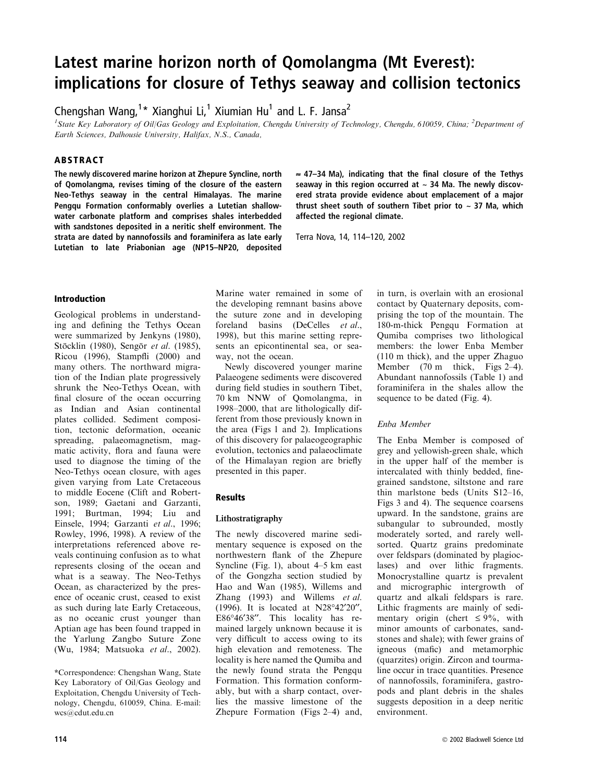# Latest marine horizon north of Qomolangma (Mt Everest): implications for closure of Tethys seaway and collision tectonics

Chengshan Wang,<sup>1\*</sup> Xianghui Li,<sup>1</sup> Xiumian Hu<sup>1</sup> and L. F. Jansa<sup>2</sup>

<sup>1</sup>State Key Laboratory of Oil/Gas Geology and Exploitation, Chengdu University of Technology, Chengdu, 610059, China; <sup>2</sup>Department of Earth Sciences, Dalhousie University, Halifax, N.S., Canada,

# ABSTRACT

The newly discovered marine horizon at Zhepure Syncline, north of Qomolangma, revises timing of the closure of the eastern Neo-Tethys seaway in the central Himalayas. The marine Pengqu Formation conformably overlies a Lutetian shallowwater carbonate platform and comprises shales interbedded with sandstones deposited in a neritic shelf environment. The strata are dated by nannofossils and foraminifera as late early Lutetian to late Priabonian age (NP15–NP20, deposited  $\approx$  47–34 Ma), indicating that the final closure of the Tethys seaway in this region occurred at  $\sim$  34 Ma. The newly discovered strata provide evidence about emplacement of a major thrust sheet south of southern Tibet prior to  $\sim$  37 Ma, which affected the regional climate.

Terra Nova, 14, 114–120, 2002

# Introduction

Geological problems in understanding and defining the Tethys Ocean were summarized by Jenkyns (1980), Stöcklin (1980), Sengör et al. (1985), Ricou (1996), Stampfli (2000) and many others. The northward migration of the Indian plate progressively shrunk the Neo-Tethys Ocean, with final closure of the ocean occurring as Indian and Asian continental plates collided. Sediment composition, tectonic deformation, oceanic spreading, palaeomagnetism, magmatic activity, flora and fauna were used to diagnose the timing of the Neo-Tethys ocean closure, with ages given varying from Late Cretaceous to middle Eocene (Clift and Robertson, 1989; Gaetani and Garzanti, 1991; Burtman, 1994; Liu and Einsele, 1994; Garzanti et al., 1996; Rowley, 1996, 1998). A review of the interpretations referenced above reveals continuing confusion as to what represents closing of the ocean and what is a seaway. The Neo-Tethys Ocean, as characterized by the presence of oceanic crust, ceased to exist as such during late Early Cretaceous, as no oceanic crust younger than Aptian age has been found trapped in the Yarlung Zangbo Suture Zone (Wu, 1984; Matsuoka et al., 2002).

\*Correspondence: Chengshan Wang, State Key Laboratory of Oil/Gas Geology and Exploitation, Chengdu University of Technology, Chengdu, 610059, China. E-mail: wcs@cdut.edu.cn

Marine water remained in some of the developing remnant basins above the suture zone and in developing foreland basins (DeCelles et al., 1998), but this marine setting represents an epicontinental sea, or seaway, not the ocean.

Newly discovered younger marine Palaeogene sediments were discovered during field studies in southern Tibet, 70km NNW of Qomolangma, in 1998–2000, that are lithologically different from those previously known in the area (Figs 1 and 2). Implications of this discovery for palaeogeographic evolution, tectonics and palaeoclimate of the Himalayan region are briefly presented in this paper.

# **Results**

# Lithostratigraphy

The newly discovered marine sedimentary sequence is exposed on the northwestern flank of the Zhepure Syncline (Fig. 1), about 4–5 km east of the Gongzha section studied by Hao and Wan (1985), Willems and Zhang (1993) and Willems et al. (1996). It is located at  $N28^{\circ}42'20''$ , E86°46'38". This locality has remained largely unknown because it is very difficult to access owing to its high elevation and remoteness. The locality is here named the Qumiba and the newly found strata the Pengqu Formation. This formation conformably, but with a sharp contact, overlies the massive limestone of the Zhepure Formation (Figs 2–4) and, in turn, is overlain with an erosional contact by Quaternary deposits, comprising the top of the mountain. The 180-m-thick Pengqu Formation at Qumiba comprises two lithological members: the lower Enba Member (110m thick), and the upper Zhaguo Member (70 m thick, Figs 2-4). Abundant nannofossils (Table 1) and foraminifera in the shales allow the sequence to be dated (Fig. 4).

# Enba Member

The Enba Member is composed of grey and yellowish-green shale, which in the upper half of the member is intercalated with thinly bedded, finegrained sandstone, siltstone and rare thin marlstone beds (Units S12–16, Figs 3 and 4). The sequence coarsens upward. In the sandstone, grains are subangular to subrounded, mostly moderately sorted, and rarely wellsorted. Quartz grains predominate over feldspars (dominated by plagioclases) and over lithic fragments. Monocrystalline quartz is prevalent and micrographic intergrowth of quartz and alkali feldspars is rare. Lithic fragments are mainly of sedimentary origin (chert  $\leq 9\%$ , with minor amounts of carbonates, sandstones and shale); with fewer grains of igneous (mafic) and metamorphic (quarzites) origin. Zircon and tourmaline occur in trace quantities. Presence of nannofossils, foraminifera, gastropods and plant debris in the shales suggests deposition in a deep neritic environment.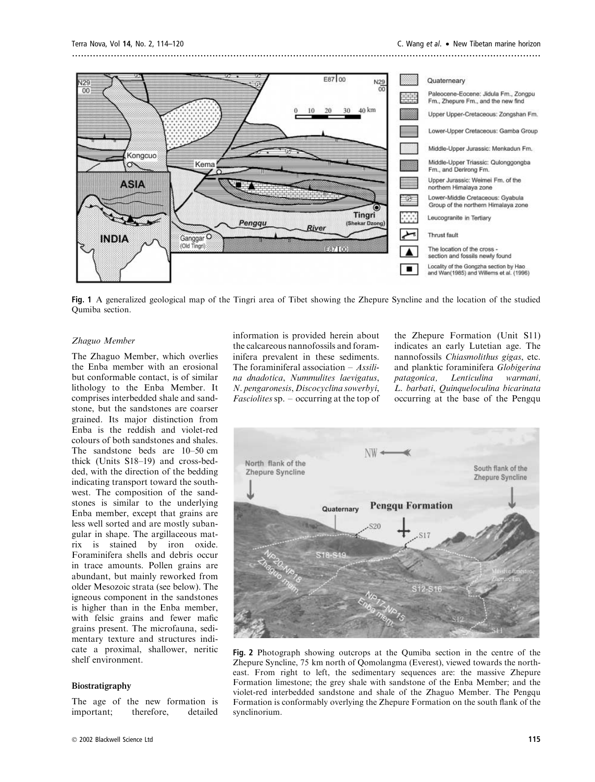

.............................................................................................................................................................

Fig. 1 A generalized geological map of the Tingri area of Tibet showing the Zhepure Syncline and the location of the studied Qumiba section.

#### Zhaguo Member

The Zhaguo Member, which overlies the Enba member with an erosional but conformable contact, is of similar lithology to the Enba Member. It comprises interbedded shale and sandstone, but the sandstones are coarser grained. Its major distinction from Enba is the reddish and violet-red colours of both sandstones and shales. The sandstone beds are 10–50 cm thick (Units S18–19) and cross-bedded, with the direction of the bedding indicating transport toward the southwest. The composition of the sandstones is similar to the underlying Enba member, except that grains are less well sorted and are mostly subangular in shape. The argillaceous matrix is stained by iron oxide. Foraminifera shells and debris occur in trace amounts. Pollen grains are abundant, but mainly reworked from older Mesozoic strata (see below). The igneous component in the sandstones is higher than in the Enba member, with felsic grains and fewer mafic grains present. The microfauna, sedimentary texture and structures indicate a proximal, shallower, neritic shelf environment.

#### Biostratigraphy

The age of the new formation is important; therefore, detailed information is provided herein about the calcareous nannofossils and foraminifera prevalent in these sediments. The foraminiferal association – Assilina dnadotica, Nummulites laevigatus, N. pengaronesis, Discocyclina sowerbyi, Fasciolites sp. – occurring at the top of

the Zhepure Formation (Unit S11) indicates an early Lutetian age. The nannofossils Chiasmolithus gigas, etc. and planktic foraminifera Globigerina patagonica, Lenticulina warmani, L. barbati, Quinqueloculina bicarinata occurring at the base of the Pengqu



Fig. 2 Photograph showing outcrops at the Qumiba section in the centre of the Zhepure Syncline, 75 km north of Qomolangma (Everest), viewed towards the northeast. From right to left, the sedimentary sequences are: the massive Zhepure Formation limestone; the grey shale with sandstone of the Enba Member; and the violet-red interbedded sandstone and shale of the Zhaguo Member. The Pengqu Formation is conformably overlying the Zhepure Formation on the south flank of the synclinorium.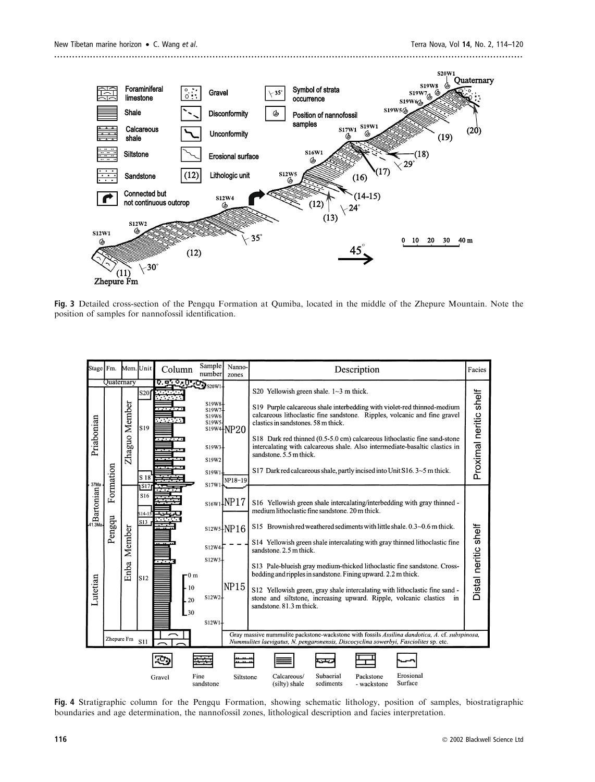

.............................................................................................................................................................

Fig. 3 Detailed cross-section of the Pengqu Formation at Qumiba, located in the middle of the Zhepure Mountain. Note the position of samples for nannofossil identification.



Fig. 4 Stratigraphic column for the Pengqu Formation, showing schematic lithology, position of samples, biostratigraphic boundaries and age determination, the nannofossil zones, lithological description and facies interpretation.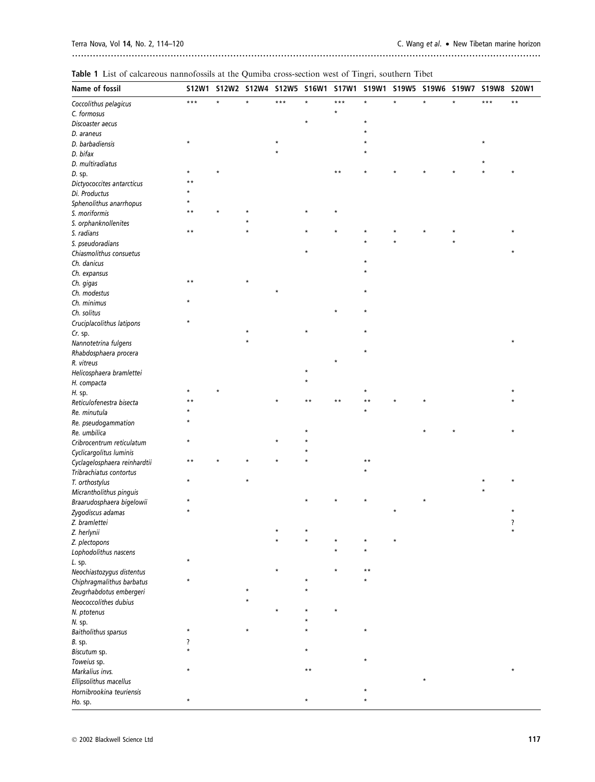### Table 1 List of calcareous nannofossils at the Qumiba cross-section west of Tingri, southern Tibet

.............................................................................................................................................................

| Name of fossil               | <b>S12W1</b> | S12W2 S12W4 | <b>S12W5</b> | S16W1   | <b>S17W1</b> | S19W1   |         | S19W5 S19W6 | S19W7   | <b>S19W8</b> | S20W1        |
|------------------------------|--------------|-------------|--------------|---------|--------------|---------|---------|-------------|---------|--------------|--------------|
| Coccolithus pelagicus        | $***$        |             | $***$        | $\star$ | $***$        | ÷       | $\star$ |             | $\star$ | ***          | $\star\star$ |
| C. formosus                  |              |             |              |         |              |         |         |             |         |              |              |
| Discoaster aecus             |              |             |              | $\star$ |              |         |         |             |         |              |              |
| D. araneus                   |              |             |              |         |              |         |         |             |         |              |              |
| D. barbadiensis              |              |             |              |         |              |         |         |             |         |              |              |
| D. bifax                     |              |             |              |         |              |         |         |             |         |              |              |
| D. multiradiatus             |              |             |              |         |              |         |         |             |         |              |              |
| D. sp.                       |              |             |              |         |              |         |         |             |         |              |              |
| Dictyococcites antarcticus   |              |             |              |         |              |         |         |             |         |              |              |
| Di. Productus                |              |             |              |         |              |         |         |             |         |              |              |
| Sphenolithus anarrhopus      |              |             |              |         |              |         |         |             |         |              |              |
| S. moriformis                |              |             |              |         |              |         |         |             |         |              |              |
| S. orphanknollenites         |              |             |              |         |              |         |         |             |         |              |              |
| S. radians                   |              |             |              |         |              |         |         |             |         |              |              |
| S. pseudoradians             |              |             |              |         |              |         |         |             |         |              |              |
| Chiasmolithus consuetus      |              |             |              |         |              |         |         |             |         |              |              |
| Ch. danicus                  |              |             |              |         |              |         |         |             |         |              |              |
| Ch. expansus                 |              |             |              |         |              |         |         |             |         |              |              |
| Ch. gigas                    | $**$         |             |              |         |              |         |         |             |         |              |              |
| Ch. modestus                 |              |             |              |         |              |         |         |             |         |              |              |
| Ch. minimus                  |              |             |              |         |              |         |         |             |         |              |              |
| Ch. solitus                  |              |             |              |         |              |         |         |             |         |              |              |
|                              |              |             |              |         |              |         |         |             |         |              |              |
| Cruciplacolithus latipons    |              |             |              |         |              |         |         |             |         |              |              |
| Cr. sp.                      |              |             |              |         |              |         |         |             |         |              |              |
| Nannotetrina fulgens         |              |             |              |         |              |         |         |             |         |              |              |
| Rhabdosphaera procera        |              |             |              |         |              |         |         |             |         |              |              |
| R. vitreus                   |              |             |              |         |              |         |         |             |         |              |              |
| Helicosphaera bramlettei     |              |             |              |         |              |         |         |             |         |              |              |
| H. compacta                  |              |             |              |         |              |         |         |             |         |              |              |
| H. sp.                       |              |             |              |         |              |         |         |             |         |              |              |
| Reticulofenestra bisecta     |              |             |              |         |              |         |         |             |         |              |              |
| Re. minutula                 |              |             |              |         |              |         |         |             |         |              |              |
| Re. pseudogammation          |              |             |              |         |              |         |         |             |         |              |              |
| Re. umbilica                 |              |             |              |         |              |         |         |             |         |              |              |
| Cribrocentrum reticulatum    |              |             |              |         |              |         |         |             |         |              |              |
| Cyclicargolitus luminis      |              |             |              |         |              |         |         |             |         |              |              |
| Cyclagelosphaera reinhardtii |              |             |              |         |              | **      |         |             |         |              |              |
| Tribrachiatus contortus      |              |             |              |         |              |         |         |             |         |              |              |
| T. orthostylus               |              |             |              |         |              |         |         |             |         |              |              |
| Micrantholithus pinguis      |              |             |              |         |              |         |         |             |         |              |              |
| Braarudosphaera bigelowii    |              |             |              |         |              |         |         |             |         |              |              |
| Zygodiscus adamas            |              |             |              |         |              |         |         |             |         |              |              |
| Z. bramlettei                |              |             |              |         |              |         |         |             |         |              | ?            |
| Z. herlynii                  |              |             |              |         |              |         |         |             |         |              |              |
| Z. plectopons                |              |             |              |         |              |         |         |             |         |              |              |
| Lophodolithus nascens        |              |             |              |         |              |         |         |             |         |              |              |
| L. sp.                       |              |             |              |         |              |         |         |             |         |              |              |
| Neochiastozygus distentus    |              |             |              |         |              | **      |         |             |         |              |              |
| Chiphragmalithus barbatus    |              |             |              |         |              |         |         |             |         |              |              |
| Zeugrhabdotus embergeri      |              |             |              |         |              |         |         |             |         |              |              |
| Neococcolithes dubius        |              |             |              |         |              |         |         |             |         |              |              |
| N. ptotenus                  |              |             |              |         |              |         |         |             |         |              |              |
| N. sp.                       |              |             |              |         |              |         |         |             |         |              |              |
|                              |              |             |              |         |              | $\star$ |         |             |         |              |              |
| Baitholithus sparsus         |              |             |              |         |              |         |         |             |         |              |              |
| B. sp.                       |              |             |              |         |              |         |         |             |         |              |              |
| Biscutum sp.                 |              |             |              |         |              |         |         |             |         |              |              |
| Toweius sp.                  |              |             |              |         |              |         |         |             |         |              |              |
| Markalius invs.              |              |             |              |         |              |         |         |             |         |              |              |
| Ellipsolithus macellus       |              |             |              |         |              |         |         |             |         |              |              |
| Hornibrookina teuriensis     |              |             |              |         |              |         |         |             |         |              |              |
| Ho. sp.                      | $\star$      |             |              |         |              |         |         |             |         |              |              |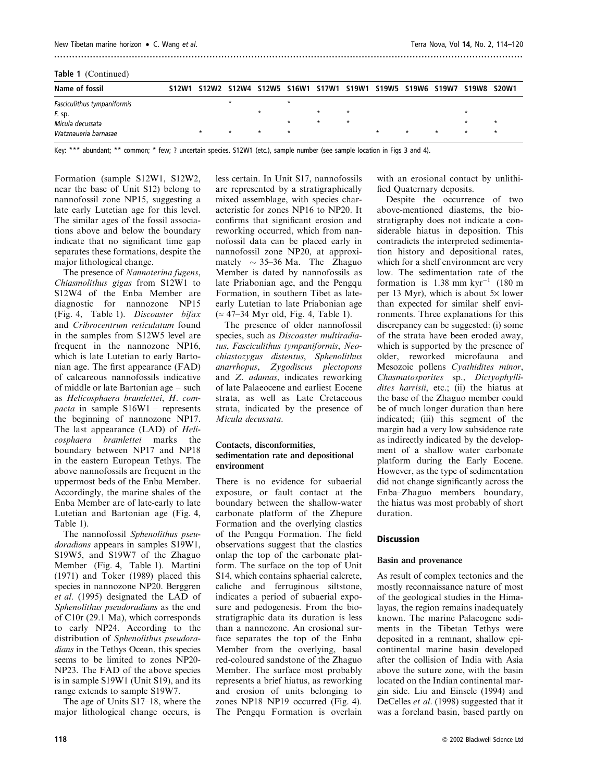#### $T<sub>ab</sub>$   $I<sub>ab</sub>$  (Continued)

| $i$ avie $i$ (Continued)    |       |         |         |         |         |         |                                                       |         |         |         |         |         |
|-----------------------------|-------|---------|---------|---------|---------|---------|-------------------------------------------------------|---------|---------|---------|---------|---------|
| Name of fossil              | S12W1 | S12W2   |         |         |         |         | S12W4 S12W5 S16W1 S17W1 S19W1 S19W5 S19W6 S19W7 S19W8 |         |         |         |         | S20W1   |
| Fasciculithus tympaniformis |       |         |         |         |         |         |                                                       |         |         |         |         |         |
| F. sp.                      |       |         |         |         |         | $\star$ | $\star$                                               |         |         |         | $\star$ |         |
| Micula decussata            |       |         |         |         | $\star$ | $\star$ | $\star$                                               |         |         |         | $\star$ | $\star$ |
| Watznaueria barnasae        |       | $\star$ | $\star$ | $\star$ | $\star$ |         |                                                       | $\star$ | $\star$ | $\star$ | $\star$ | $\star$ |

.............................................................................................................................................................

Key: \*\*\* abundant; \*\* common; \* few; ? uncertain species. S12W1 (etc.), sample number (see sample location in Figs 3 and 4).

Formation (sample S12W1, S12W2, near the base of Unit S12) belong to nannofossil zone NP15, suggesting a late early Lutetian age for this level. The similar ages of the fossil associations above and below the boundary indicate that no significant time gap separates these formations, despite the major lithological change.

The presence of Nannoterina fugens, Chiasmolithus gigas from S12W1 to S12W4 of the Enba Member are diagnostic for nannozone NP15 (Fig. 4, Table 1). Discoaster bifax and Cribrocentrum reticulatum found in the samples from S12W5 level are frequent in the nannozone NP16, which is late Lutetian to early Bartonian age. The first appearance (FAD) of calcareous nannofossils indicative of middle or late Bartonian age – such as Helicosphaera bramlettei, H. compacta in sample S16W1 – represents the beginning of nannozone NP17. The last appearance (LAD) of Helicosphaera bramlettei marks the boundary between NP17 and NP18 in the eastern European Tethys. The above nannofossils are frequent in the uppermost beds of the Enba Member. Accordingly, the marine shales of the Enba Member are of late-early to late Lutetian and Bartonian age (Fig. 4, Table 1).

The nannofossil Sphenolithus pseudoradians appears in samples S19W1, S19W5, and S19W7 of the Zhaguo Member (Fig. 4, Table 1). Martini (1971) and Toker (1989) placed this species in nannozone NP20. Berggren et al. (1995) designated the LAD of Sphenolithus pseudoradians as the end of C10r (29.1 Ma), which corresponds to early NP24. According to the distribution of Sphenolithus pseudoradians in the Tethys Ocean, this species seems to be limited to zones NP20- NP23. The FAD of the above species is in sample S19W1 (Unit S19), and its range extends to sample S19W7.

The age of Units S17–18, where the major lithological change occurs, is less certain. In Unit S17, nannofossils are represented by a stratigraphically mixed assemblage, with species characteristic for zones NP16 to NP20. It confirms that significant erosion and reworking occurred, which from nannofossil data can be placed early in nannofossil zone NP20, at approximately  $\sim$  35–36 Ma. The Zhaguo Member is dated by nannofossils as late Priabonian age, and the Pengqu Formation, in southern Tibet as lateearly Lutetian to late Priabonian age  $\approx$  47–34 Myr old, Fig. 4, Table 1).

The presence of older nannofossil species, such as Discoaster multiradiatus, Fasciculithus tympaniformis, Neochiastozygus distentus, Sphenolithus anarrhopus, Zygodiscus plectopons and Z. adamas, indicates reworking of late Palaeocene and earliest Eocene strata, as well as Late Cretaceous strata, indicated by the presence of Micula decussata.

### Contacts, disconformities, sedimentation rate and depositional environment

There is no evidence for subaerial exposure, or fault contact at the boundary between the shallow-water carbonate platform of the Zhepure Formation and the overlying clastics of the Pengqu Formation. The field observations suggest that the clastics onlap the top of the carbonate platform. The surface on the top of Unit S14, which contains sphaerial calcrete, caliche and ferruginous siltstone, indicates a period of subaerial exposure and pedogenesis. From the biostratigraphic data its duration is less than a nannozone. An erosional surface separates the top of the Enba Member from the overlying, basal red-coloured sandstone of the Zhaguo Member. The surface most probably represents a brief hiatus, as reworking and erosion of units belonging to zones NP18–NP19 occurred (Fig. 4). The Pengqu Formation is overlain with an erosional contact by unlithified Quaternary deposits.

Despite the occurrence of two above-mentioned diastems, the biostratigraphy does not indicate a considerable hiatus in deposition. This contradicts the interpreted sedimentation history and depositional rates, which for a shelf environment are very low. The sedimentation rate of the formation is  $1.38$  mm kyr<sup>-1</sup> (180 m) per 13 Myr), which is about  $5 \times$  lower than expected for similar shelf environments. Three explanations for this discrepancy can be suggested: (i) some of the strata have been eroded away, which is supported by the presence of older, reworked microfauna and Mesozoic pollens Cyathidites minor, Chasmatosporites sp., Dictyophyllidites harrisii, etc.; (ii) the hiatus at the base of the Zhaguo member could be of much longer duration than here indicated; (iii) this segment of the margin had a very low subsidence rate as indirectly indicated by the development of a shallow water carbonate platform during the Early Eocene. However, as the type of sedimentation did not change significantly across the Enba–Zhaguo members boundary, the hiatus was most probably of short duration.

#### Discussion

#### Basin and provenance

As result of complex tectonics and the mostly reconnaissance nature of most of the geological studies in the Himalayas, the region remains inadequately known. The marine Palaeogene sediments in the Tibetan Tethys were deposited in a remnant, shallow epicontinental marine basin developed after the collision of India with Asia above the suture zone, with the basin located on the Indian continental margin side. Liu and Einsele (1994) and DeCelles et al. (1998) suggested that it was a foreland basin, based partly on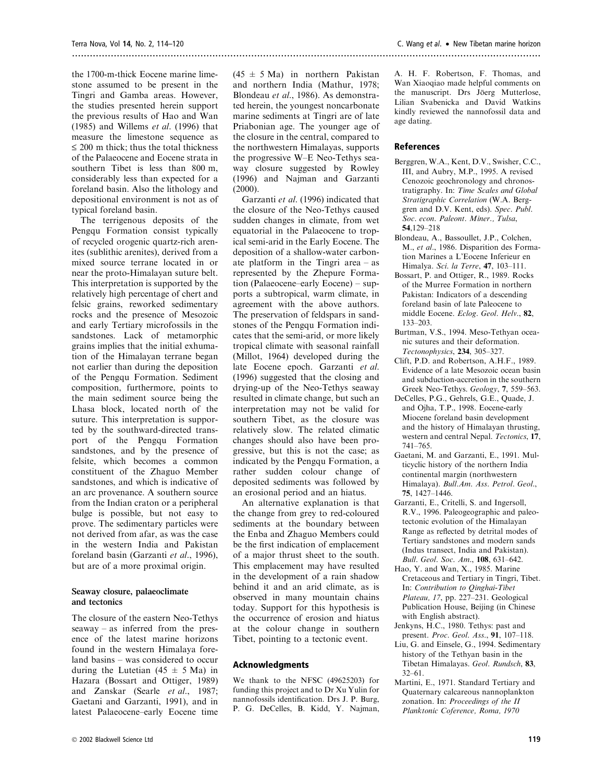the 1700-m-thick Eocene marine limestone assumed to be present in the Tingri and Gamba areas. However, the studies presented herein support the previous results of Hao and Wan (1985) and Willems et al. (1996) that measure the limestone sequence as  $\leq$  200 m thick; thus the total thickness of the Palaeocene and Eocene strata in southern Tibet is less than 800 m, considerably less than expected for a foreland basin. Also the lithology and depositional environment is not as of typical foreland basin.

The terrigenous deposits of the Pengqu Formation consist typically of recycled orogenic quartz-rich arenites (sublithic arenites), derived from a mixed source terrane located in or near the proto-Himalayan suture belt. This interpretation is supported by the relatively high percentage of chert and felsic grains, reworked sedimentary rocks and the presence of Mesozoic and early Tertiary microfossils in the sandstones. Lack of metamorphic grains implies that the initial exhumation of the Himalayan terrane began not earlier than during the deposition of the Pengqu Formation. Sediment composition, furthermore, points to the main sediment source being the Lhasa block, located north of the suture. This interpretation is supported by the southward-directed transport of the Pengqu Formation sandstones, and by the presence of felsite, which becomes a common constituent of the Zhaguo Member sandstones, and which is indicative of an arc provenance. A southern source from the Indian craton or a peripheral bulge is possible, but not easy to prove. The sedimentary particles were not derived from afar, as was the case in the western India and Pakistan foreland basin (Garzanti et al., 1996), but are of a more proximal origin.

#### Seaway closure, palaeoclimate and tectonics

The closure of the eastern Neo-Tethys seaway – as inferred from the presence of the latest marine horizons found in the western Himalaya foreland basins – was considered to occur during the Lutetian  $(45 \pm 5 \text{ Ma})$  in Hazara (Bossart and Ottiger, 1989) and Zanskar (Searle et al., 1987; Gaetani and Garzanti, 1991), and in latest Palaeocene–early Eocene time

 $(45 \pm 5 \text{ Ma})$  in northern Pakistan and northern India (Mathur, 1978; Blondeau et al., 1986). As demonstrated herein, the youngest noncarbonate marine sediments at Tingri are of late Priabonian age. The younger age of the closure in the central, compared to the northwestern Himalayas, supports the progressive W–E Neo-Tethys seaway closure suggested by Rowley (1996) and Najman and Garzanti (2000).

.............................................................................................................................................................

Garzanti et al. (1996) indicated that the closure of the Neo-Tethys caused sudden changes in climate, from wet equatorial in the Palaeocene to tropical semi-arid in the Early Eocene. The deposition of a shallow-water carbonate platform in the Tingri area – as represented by the Zhepure Formation (Palaeocene–early Eocene) – supports a subtropical, warm climate, in agreement with the above authors. The preservation of feldspars in sandstones of the Pengqu Formation indicates that the semi-arid, or more likely tropical climate with seasonal rainfall (Millot, 1964) developed during the late Eocene epoch. Garzanti et al. (1996) suggested that the closing and drying-up of the Neo-Tethys seaway resulted in climate change, but such an interpretation may not be valid for southern Tibet, as the closure was relatively slow. The related climatic changes should also have been progressive, but this is not the case; as indicated by the Pengqu Formation, a rather sudden colour change of deposited sediments was followed by an erosional period and an hiatus.

An alternative explanation is that the change from grey to red-coloured sediments at the boundary between the Enba and Zhaguo Members could be the first indication of emplacement of a major thrust sheet to the south. This emplacement may have resulted in the development of a rain shadow behind it and an arid climate, as is observed in many mountain chains today. Support for this hypothesis is the occurrence of erosion and hiatus at the colour change in southern Tibet, pointing to a tectonic event.

### Acknowledgments

We thank to the NFSC (49625203) for funding this project and to Dr Xu Yulin for nannofossils identification. Drs J. P. Burg, P. G. DeCelles, B. Kidd, Y. Najman, A. H. F. Robertson, F. Thomas, and Wan Xiaoqiao made helpful comments on the manuscript. Drs Jöerg Mutterlose, Lilian Svabenicka and David Watkins kindly reviewed the nannofossil data and age dating.

#### References

- Berggren, W.A., Kent, D.V., Swisher, C.C., III, and Aubry, M.P., 1995. A revised Cenozoic geochronology and chronostratigraphy. In: Time Scales and Global Stratigraphic Correlation (W.A. Berggren and D.V. Kent, eds). Spec. Publ. Soc. econ. Paleont. Miner., Tulsa, 54,129–218
- Blondeau, A., Bassoullet, J.P., Colchen, M., et al., 1986. Disparition des Formation Marines a L'Eocene Inferieur en Himalya. Sci. la Terre, 47, 103–111.
- Bossart, P. and Ottiger, R., 1989. Rocks of the Murree Formation in northern Pakistan: Indicators of a descending foreland basin of late Paleocene to middle Eocene. Eclog. Geol. Helv., 82, 133–203.
- Burtman, V.S., 1994. Meso-Tethyan oceanic sutures and their deformation. Tectonophysics, 234, 305–327.
- Clift, P.D. and Robertson, A.H.F., 1989. Evidence of a late Mesozoic ocean basin and subduction-accretion in the southern Greek Neo-Tethys. Geology, 7, 559–563.
- DeCelles, P.G., Gehrels, G.E., Quade, J. and Ojha, T.P., 1998. Eocene-early Miocene foreland basin development and the history of Himalayan thrusting, western and central Nepal. Tectonics, 17, 741–765.
- Gaetani, M. and Garzanti, E., 1991. Multicyclic history of the northern India continental margin (northwestern Himalaya). Bull.Am. Ass. Petrol. Geol., 75, 1427–1446.
- Garzanti, E., Critelli, S. and Ingersoll, R.V., 1996. Paleogeographic and paleotectonic evolution of the Himalayan Range as reflected by detrital modes of Tertiary sandstones and modern sands (Indus transect, India and Pakistan). Bull. Geol. Soc. Am., 108, 631–642.
- Hao, Y. and Wan, X., 1985. Marine Cretaceous and Tertiary in Tingri, Tibet. In: Contribution to Qinghai-Tibet Plateau, 17, pp. 227–231. Geological Publication House, Beijing (in Chinese with English abstract).
- Jenkyns, H.C., 1980. Tethys: past and present. Proc. Geol. Ass., 91, 107–118.
- Liu, G. and Einsele, G., 1994. Sedimentary history of the Tethyan basin in the Tibetan Himalayas. Geol. Rundsch, 83, 32–61.
- Martini, E., 1971. Standard Tertiary and Quaternary calcareous nannoplankton zonation. In: Proceedings of the II Planktonic Coference, Roma, 1970